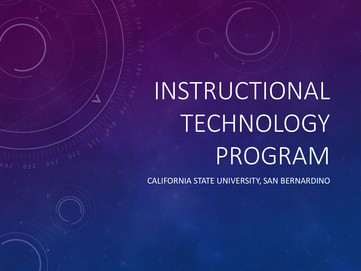# INSTRUCTIONAL TECHNOLOGY PROGRAM

CALIFORNIA STATE UNIVERSITY, SAN BERNARDINO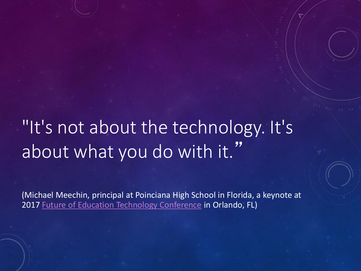### "It's not about the technology. It's about what you do with it."

(Michael Meechin, principal at Poinciana High School in Florida, a keynote at 2017 [Future of Education Technology Conference](http://fetc.org/) in Orlando, FL)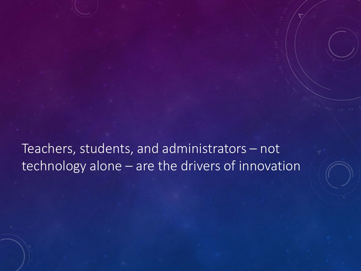Teachers, students, and administrators – not technology alone – are the drivers of innovation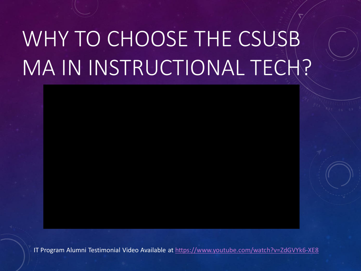## WHY TO CHOOSE THE CSUSB MA IN INSTRUCTIONAL TECH?

IT Program Alumni Testimonial Video Available at<https://www.youtube.com/watch?v=ZdGVYk6-XE8>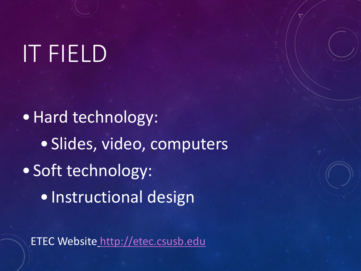## IT FIELD

•Hard technology: • Slides, video, computers • Soft technology: • Instructional design

ETEC Website [http://etec.csusb.edu](http://etec.csusb.edu/)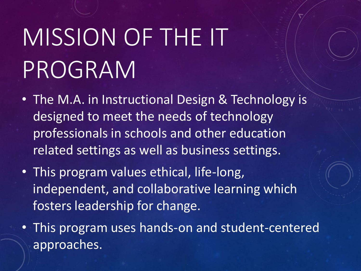# MISSION OF THE IT PROGRAM

- The M.A. in Instructional Design & Technology is designed to meet the needs of technology professionals in schools and other education related settings as well as business settings.
- This program values ethical, life-long, independent, and collaborative learning which fosters leadership for change.
- This program uses hands-on and student-centered approaches.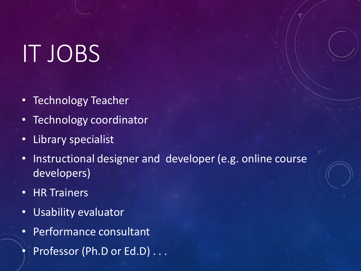## IT JOBS

- Technology Teacher
- Technology coordinator
- Library specialist
- Instructional designer and developer (e.g. online course developers)
- HR Trainers
- Usability evaluator
- Performance consultant
- Professor (Ph.D or Ed.D) . . .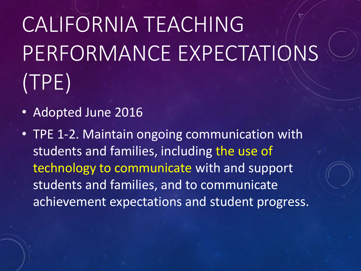## CALIFORNIA TEACHING PERFORMANCE EXPECTATIONS (TPE)

- Adopted June 2016
- TPE 1-2. Maintain ongoing communication with students and families, including the use of technology to communicate with and support students and families, and to communicate achievement expectations and student progress.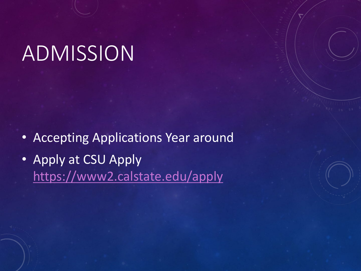### ADMISSION

- Accepting Applications Year around
- Apply at CSU Apply <https://www2.calstate.edu/apply>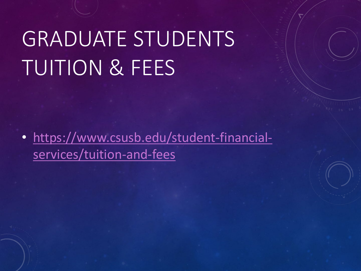### GRADUATE STUDENTS TUITION & FEES

• [https://www.csusb.edu/student-financial](https://www.csusb.edu/student-financial-services/tuition-and-fees)services/tuition-and-fees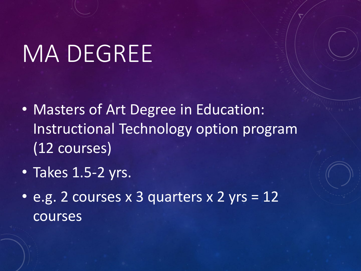## MA DEGREE

- Masters of Art Degree in Education: Instructional Technology option program (12 courses)
- Takes 1.5-2 yrs.
- e.g. 2 courses x 3 quarters x 2 yrs = 12 courses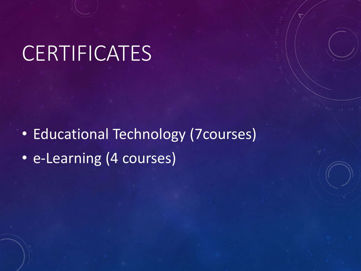### **CERTIFICATES**

• Educational Technology (7courses) • e-Learning (4 courses)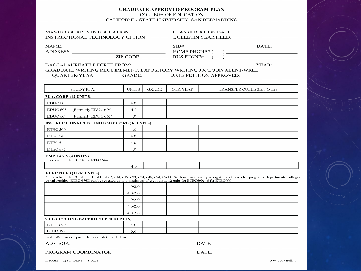### **GRADUATE APPROVED PROGRAM PLAN COLLEGE OF EDUCATION** CALIFORNIA STATE UNIVERSITY, SAN BERNARDINO

### **MASTER OF ARTS IN EDUCATION** INSTRUCTIONAL TECHNOLOGY OPTION

**CLASSIFICATION DATE:** BULLETIN YEAR HELD: POWER TO A PARTICULAR THE SERVICE OF THE SERVICE OF THE SERVICE OF THE SERVICE OF THE SERVICE OF THE SERVICE OF THE SERVICE OF THE SERVICE OF THE SERVICE OF THE SERVICE OF THE SERVICE OF THE SERVICE OF

| <b>NAME:</b> |  |  |
|--------------|--|--|
|              |  |  |

 $SID#$  DATE: 

**BACCALAUREATE DEGREE FROM:** 

GRADUATE WRITING REOUIREMENT: EXPOSITORY WRITING 306/EOUIVALENT/WREE QUARTER/YEAR: GRADE: DATE PETITION APPROVED:

| /\ I\<br>້ | <b>STATISTICS</b><br>TNL. | ۰T<br>эł<br>тĸ | . н. | ----<br>.<br>. . <i>.</i> |
|------------|---------------------------|----------------|------|---------------------------|
|            |                           |                |      |                           |

### M.A. CORE (12 UNITS)

| EDUC 603                        | 4.0 |  |  |
|---------------------------------|-----|--|--|
| EDUC 605<br>(Formerly EDUC 695) | 4.0 |  |  |
| EDUC 607<br>(Formerly EDUC 663) | 4.0 |  |  |

### **INSTRUCTIONAL TECHNOLOGY CORE (16 UNITS)**

| ETEC 500 | 4.0 |  |  |
|----------|-----|--|--|
| ETEC 543 | 4.0 |  |  |
| ETEC 544 | 4.0 |  |  |
| ETEC 692 | 4.0 |  |  |

### **EMPHASIS (4 UNITS)**

Choose either ETEC 643 or ETEC 644

4.0

### **ELECTIVES (12-16 UNITS)**

Chosen from: ETEC 546, 501, 541, 542D, 614, 617, 623, 634, 648, 674, 676D. Students may take up to eight units from other programs, departments, colleges or universities. ETEC 676D can be repeated up to a maximum of eight units. 12 units for ETEC699; 16 for ETEC999.

| 4.0/2.0 |  |  |
|---------|--|--|
| 4.0/2.0 |  |  |
| 4.0/2.0 |  |  |
| 4.0/2.0 |  |  |
| 4.0/2.0 |  |  |

### **CULMINATING EXPERIENCE (0-4 UNITS)**

| ETEC 699 | $+0.5$ |  |  |
|----------|--------|--|--|
| ETEC 999 | U.U.   |  |  |

Note: 48 units required for completion of degree

### ADVISOR: DATE:

|  | <b>PROGRAM COORDINATOR:</b> |  | DATE: |  |
|--|-----------------------------|--|-------|--|
|--|-----------------------------|--|-------|--|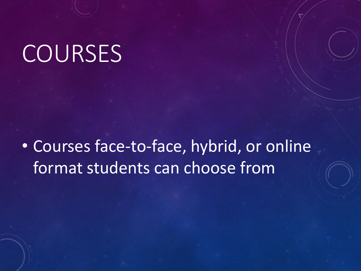## **COURSES**

• Courses face-to-face, hybrid, or online format students can choose from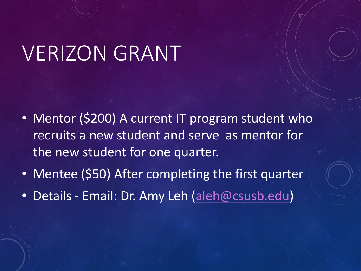### VERIZON GRANT

- Mentor (\$200) A current IT program student who recruits a new student and serve as mentor for the new student for one quarter.
- Mentee (\$50) After completing the first quarter
- Details Email: Dr. Amy Leh [\(aleh@csusb.edu](mailto:aleh@csusb.edu))